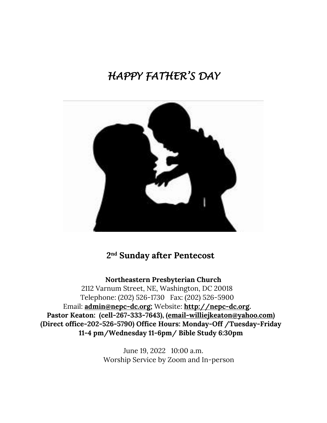# *HAPPY FATHER'S DAY*



## **2nd Sunday after Pentecost**

**Northeastern Presbyterian Church**

2112 Varnum Street, NE, Washington, DC 20018 Telephone: (202) 526-1730 Fax: (202) 526-5900 Email: **[admin@nepc-dc.org;](mailto:admin@nepc-dc.org)** Website: **[http://nepc-dc.org.](http://nepc-dc.org/) Pastor Keaton: (cell-267-333-7643), [\(email-williejkeaton@yahoo.com\)](mailto:email-williejkeaton@yahoo.com) (Direct office-202-526-5790) Office Hours: Monday-Off /Tuesday-Friday 11-4 pm/Wednesday 11-6pm/ Bible Study 6:30pm**

> June 19, 2022 10:00 a.m. Worship Service by Zoom and In-person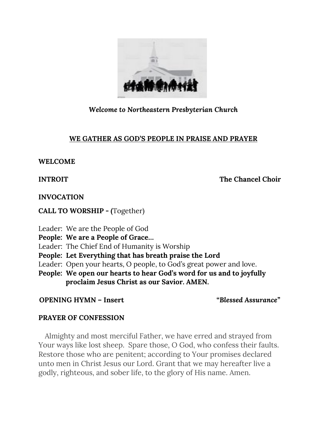

### *Welcome to Northeastern Presbyterian Church*

### **WE GATHER AS GOD'S PEOPLE IN PRAISE AND PRAYER**

### **WELCOME**

**INTROIT** The Chancel Choir

**INVOCATION** 

**CALL TO WORSHIP - (**Together)

Leader: We are the People of God **People: We are a People of Grace…** Leader: The Chief End of Humanity is Worship **People: Let Everything that has breath praise the Lord** Leader: Open your hearts, O people, to God's great power and love. **People: We open our hearts to hear God's word for us and to joyfully proclaim Jesus Christ as our Savior. AMEN.**

**OPENING HYMN – Insert "***Blessed Assurance"* 

### **PRAYER OF CONFESSION**

 Almighty and most merciful Father, we have erred and strayed from Your ways like lost sheep. Spare those, O God, who confess their faults. Restore those who are penitent; according to Your promises declared unto men in Christ Jesus our Lord. Grant that we may hereafter live a godly, righteous, and sober life, to the glory of His name. Amen.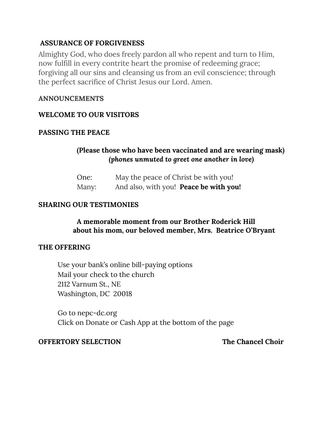### **ASSURANCE OF FORGIVENESS**

Almighty God, who does freely pardon all who repent and turn to Him, now fulfill in every contrite heart the promise of redeeming grace; forgiving all our sins and cleansing us from an evil conscience; through the perfect sacrifice of Christ Jesus our Lord. Amen.

### **ANNOUNCEMENTS**

### **WELCOME TO OUR VISITORS**

### **PASSING THE PEACE**

### **(Please those who have been vaccinated and are wearing mask)**  *(phones unmuted to greet one another in love)*

| One:  | May the peace of Christ be with you!   |
|-------|----------------------------------------|
| Many: | And also, with you! Peace be with you! |

### **SHARING OUR TESTIMONIES**

### **A memorable moment from our Brother Roderick Hill about his mom, our beloved member, Mrs. Beatrice O'Bryant**

### **THE OFFERING**

Use your bank's online bill-paying options Mail your check to the church 2112 Varnum St., NE Washington, DC 20018

Go to nepc-dc.org Click on Donate or Cash App at the bottom of the page

### **OFFERTORY SELECTION The Chancel Choir**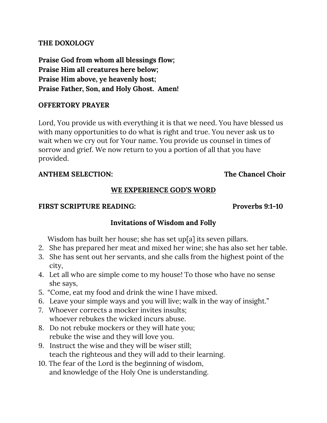### **THE DOXOLOGY**

**Praise God from whom all blessings flow; Praise Him all creatures here below; Praise Him above, ye heavenly host; Praise Father, Son, and Holy Ghost. Amen!**

### **OFFERTORY PRAYER**

Lord, You provide us with everything it is that we need. You have blessed us with many opportunities to do what is right and true. You never ask us to wait when we cry out for Your name. You provide us counsel in times of sorrow and grief. We now return to you a portion of all that you have provided.

### **ANTHEM SELECTION: The Chancel Choir**

### **WE EXPERIENCE GOD'S WORD**

### **FIRST SCRIPTURE READING:** Proverbs 9:1-10

### **Invitations of Wisdom and Folly**

Wisdom has built her house; she has set up[a] its seven pillars.

- 2. She has prepared her meat and mixed her wine; she has also set her table.
- 3. She has sent out her servants, and she calls from the highest point of the city,
- 4. Let all who are simple come to my house! To those who have no sense she says,
- 5. "Come, eat my food and drink the wine I have mixed.
- 6. Leave your simple ways and you will live; walk in the way of insight."
- 7. Whoever corrects a mocker invites insults; whoever rebukes the wicked incurs abuse.
- 8. Do not rebuke mockers or they will hate you; rebuke the wise and they will love you.
- 9. Instruct the wise and they will be wiser still; teach the righteous and they will add to their learning.
- 10. The fear of the Lord is the beginning of wisdom, and knowledge of the Holy One is understanding.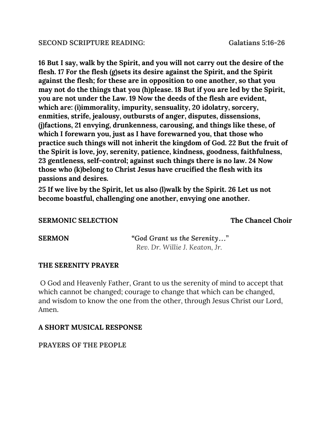**16 But I say, walk by the Spirit, and you will not carry out the desire of the flesh. 17 For the flesh (g)sets its desire against the Spirit, and the Spirit against the flesh; for these are in opposition to one another, so that you may not do the things that you (h)please. 18 But if you are led by the Spirit, you are not under the Law. 19 Now the deeds of the flesh are evident, which are: (i)immorality, impurity, sensuality, 20 idolatry, sorcery, enmities, strife, jealousy, outbursts of anger, disputes, dissensions, (j)factions, 21 envying, drunkenness, carousing, and things like these, of which I forewarn you, just as I have forewarned you, that those who practice such things will not inherit the kingdom of God. 22 But the fruit of the Spirit is love, joy, serenity, patience, kindness, goodness, faithfulness, 23 gentleness, self-control; against such things there is no law. 24 Now those who (k)belong to Christ Jesus have crucified the flesh with its passions and desires.**

**25 If we live by the Spirit, let us also (l)walk by the Spirit. 26 Let us not become boastful, challenging one another, envying one another.**

### **SERMONIC SELECTION** The Chancel Choir

**SERMON "***God Grant us the Serenity*…**"**  *Rev. Dr. Willie J. Keaton, Jr.*

### **THE SERENITY PRAYER**

O God and Heavenly Father, Grant to us the serenity of mind to accept that which cannot be changed; courage to change that which can be changed, and wisdom to know the one from the other, through Jesus Christ our Lord, Amen.

### **A SHORT MUSICAL RESPONSE**

**PRAYERS OF THE PEOPLE**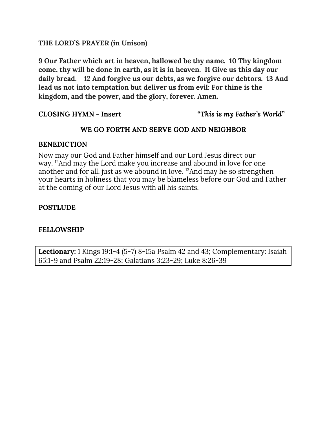### **THE LORD'S PRAYER (in Unison)**

**9 Our Father which art in heaven, hallowed be thy name. 10 Thy kingdom come, thy will be done in earth, as it is in heaven. 11 Give us this day our daily bread. 12 And forgive us our debts, as we forgive our debtors. 13 And lead us not into temptation but deliver us from evil: For thine is the kingdom, and the power, and the glory, forever. Amen.**

**CLOSING HYMN - Insert "***This is my Father's World***"** 

### **WE GO FORTH AND SERVE GOD AND NEIGHBOR**

### **BENEDICTION**

Now may our God and Father himself and our Lord Jesus direct our way. 12And may the Lord make you increase and abound in love for one another and for all, just as we abound in love. 13And may he so strengthen your hearts in holiness that you may be blameless before our God and Father at the coming of our Lord Jesus with all his saints.

### **POSTLUDE**

### **FELLOWSHIP**

**Lectionary:** 1 Kings 19:1-4 (5-7) 8-15a Psalm 42 and 43; Complementary: Isaiah 65:1-9 and Psalm 22:19-28; Galatians 3:23-29; Luke 8:26-39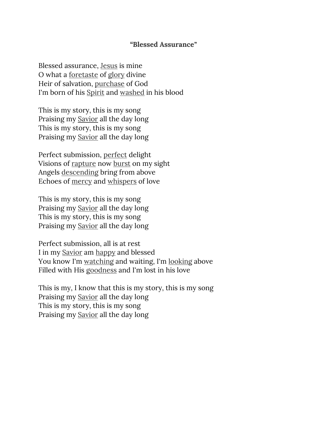### *"***Blessed Assurance***"*

Blessed assurance, [Jesus](https://www.definitions.net/definition/Jesus) is mine O what a [foretaste](https://www.definitions.net/definition/foretaste) of [glory](https://www.definitions.net/definition/glory) divine Heir of salvation, [purchase](https://www.definitions.net/definition/purchase) of God I'm born of his [Spirit](https://www.definitions.net/definition/Spirit) and [washed](https://www.definitions.net/definition/washed) in his blood

This is my story, this is my song Praising my [Savior](https://www.definitions.net/definition/Savior) all the day long This is my story, this is my song Praising my [Savior](https://www.definitions.net/definition/Savior) all the day long

Perfect submission, [perfect](https://www.definitions.net/definition/perfect) delight Visions of [rapture](https://www.definitions.net/definition/rapture) now [burst](https://www.definitions.net/definition/burst) on my sight Angels [descending](https://www.definitions.net/definition/descending) bring from above Echoes of [mercy](https://www.definitions.net/definition/mercy) and [whispers](https://www.definitions.net/definition/whispers) of love

This is my story, this is my song Praising my [Savior](https://www.definitions.net/definition/Savior) all the day long This is my story, this is my song Praising my [Savior](https://www.definitions.net/definition/Savior) all the day long

Perfect submission, all is at rest I in my [Savior](https://www.definitions.net/definition/Savior) am [happy](https://www.definitions.net/definition/happy) and blessed You know I'm [watching](https://www.definitions.net/definition/watching) and waiting, I'm [looking](https://www.definitions.net/definition/looking) above Filled with His [goodness](https://www.definitions.net/definition/goodness) and I'm lost in his love

This is my, I know that this is my story, this is my song Praising my [Savior](https://www.definitions.net/definition/Savior) all the day long This is my story, this is my song Praising my [Savior](https://www.definitions.net/definition/Savior) all the day long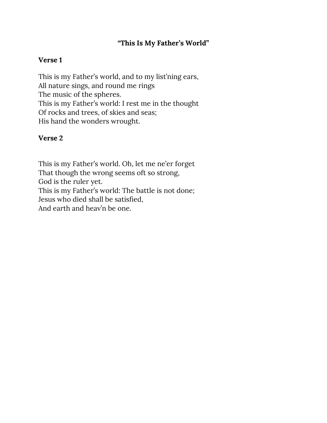### **"This Is My Father's World"**

### **Verse 1**

This is my Father's world, and to my list'ning ears, All nature sings, and round me rings The music of the spheres. This is my Father's world: I rest me in the thought Of rocks and trees, of skies and seas; His hand the wonders wrought.

### **Verse 2**

This is my Father's world. Oh, let me ne'er forget That though the wrong seems oft so strong, God is the ruler yet. This is my Father's world: The battle is not done; Jesus who died shall be satisfied, And earth and heav'n be one.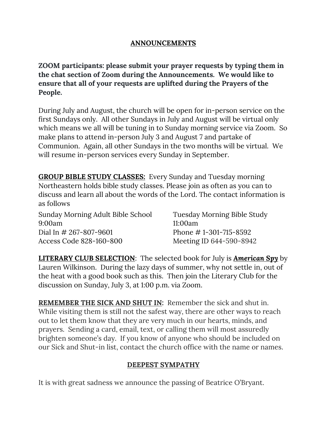### **ANNOUNCEMENTS**

**ZOOM participants: please submit your prayer requests by typing them in the chat section of Zoom during the Announcements. We would like to ensure that all of your requests are uplifted during the Prayers of the People.** 

During July and August, the church will be open for in-person service on the first Sundays only. All other Sundays in July and August will be virtual only which means we all will be tuning in to Sunday morning service via Zoom. So make plans to attend in-person July 3 and August 7 and partake of Communion. Again, all other Sundays in the two months will be virtual. We will resume in-person services every Sunday in September.

**GROUP BIBLE STUDY CLASSES:** Every Sunday and Tuesday morning Northeastern holds bible study classes. Please join as often as you can to discuss and learn all about the words of the Lord. The contact information is as follows

Sunday Morning Adult Bible School Tuesday Morning Bible Study 9:00am 11:00am Dial In # 267-807-9601 Phone # 1-301-715-8592 Access Code 828-160-800 Meeting ID 644-590-8942

**LITERARY CLUB SELECTION**: The selected book for July is *American Spy* by Lauren Wilkinson. During the lazy days of summer, why not settle in, out of the heat with a good book such as this. Then join the Literary Club for the discussion on Sunday, July 3, at 1:00 p.m. via Zoom.

**REMEMBER THE SICK AND SHUT IN:** Remember the sick and shut in. While visiting them is still not the safest way, there are other ways to reach out to let them know that they are very much in our hearts, minds, and prayers. Sending a card, email, text, or calling them will most assuredly brighten someone's day. If you know of anyone who should be included on our Sick and Shut-in list, contact the church office with the name or names.

### **DEEPEST SYMPATHY**

It is with great sadness we announce the passing of Beatrice O'Bryant.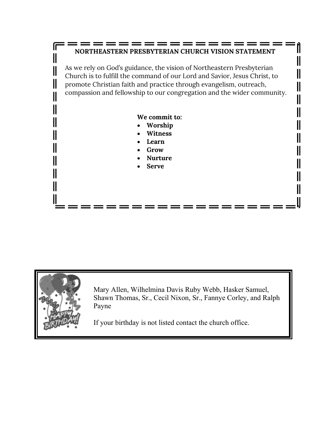### :============== **NORTHEASTERN PRESBYTERIAN CHURCH VISION STATEMENT**

 $\begin{matrix} \phantom{-} \end{matrix} \begin{matrix} \phantom{-} \end{matrix} \end{matrix}$ 

 $\mathbf{\mathsf{I}}$ 

 $\overline{\mathbb{I}}$ 

 $\mathbf \mathsf I$ 

 $\parallel$ 

 $\parallel$ 

I

II

As we rely on God's guidance, the vision of Northeastern Presbyterian Church is to fulfill the command of our Lord and Savior, Jesus Christ, to promote Christian faith and practice through evangelism, outreach, compassion and fellowship to our congregation and the wider community.

### **We commit to:**

- **Worship**
- **Witness**
- **Learn**
- **Grow**
- **Nurture**
- **Serve**



Ir

Ш

 $\mathsf{I}$ 

Ш

Ι

Ш

II

Mary Allen, Wilhelmina Davis Ruby Webb, Hasker Samuel, Shawn Thomas, Sr., Cecil Nixon, Sr., Fannye Corley, and Ralph Payne

If your birthday is not listed contact the church office.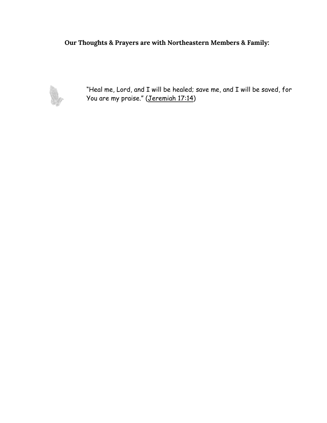**Our Thoughts & Prayers are with Northeastern Members & Family:**



"Heal me, Lord, and I will be healed; save me, and I will be saved, for You are my praise." [\(Jeremiah 17:14\)](http://prayer.knowing-jesus.com/Jeremiah/17/14)